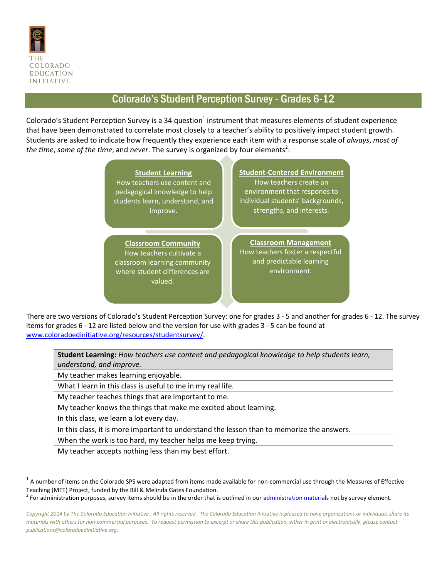

## Colorado's Student Perception Survey - Grades 6-12

Colorado's Student Perception Survey is a 34 question<sup>1</sup> instrument that measures elements of student experience that have been demonstrated to correlate most closely to a teacher's ability to positively impact student growth. Students are asked to indicate how frequently they experience each item with a response scale of *always*, *most of*  the time, some of the time, and never. The survey is organized by four elements<sup>2</sup>:

> **Student Learning** How teachers use content and pedagogical knowledge to help students learn, understand, and improve. **Student-Centered Environment** How teachers create an environment that responds to individual students' backgrounds, strengths, and interests. **Classroom Community** How teachers cultivate a classroom learning community where student differences are valued. **Classroom Management** How teachers foster a respectful and predictable learning environment.

There are two versions of Colorado's Student Perception Survey: one for grades 3 - 5 and another for grades 6 - 12. The survey items for grades 6 - 12 are listed below and the version for use with grades 3 - 5 can be found at [www.coloradoedinitiative.org/resources/studentsurvey/.](http://www.coloradoedinitiative.org/resources/studentsurvey/)

**Student Learning:** *How teachers use content and pedagogical knowledge to help students learn, understand, and improve.*

My teacher makes learning enjoyable.

What I learn in this class is useful to me in my real life.

My teacher teaches things that are important to me.

My teacher knows the things that make me excited about learning.

In this class, we learn a lot every day.

 $\overline{a}$ 

In this class, it is more important to understand the lesson than to memorize the answers.

When the work is too hard, my teacher helps me keep trying.

My teacher accepts nothing less than my best effort.

 $^1$  A number of items on the Colorado SPS were adapted from items made available for non-commercial use through the Measures of Effective Teaching (MET) Project, funded by the Bill & Melinda Gates Foundation.

<sup>&</sup>lt;sup>2</sup> For administration purposes, survey items should be in the order that is outlined in our **administration materials** not by survey element.

*Copyright 2014 by The Colorado Education Initiative. All rights reserved. The Colorado Education Initiative is pleased to have organizations or individuals share its materials with others for non-commercial purposes. To request permission to excerpt or share this publication, either in print or electronically, please contact publications@coloradoedinitiative.org.*